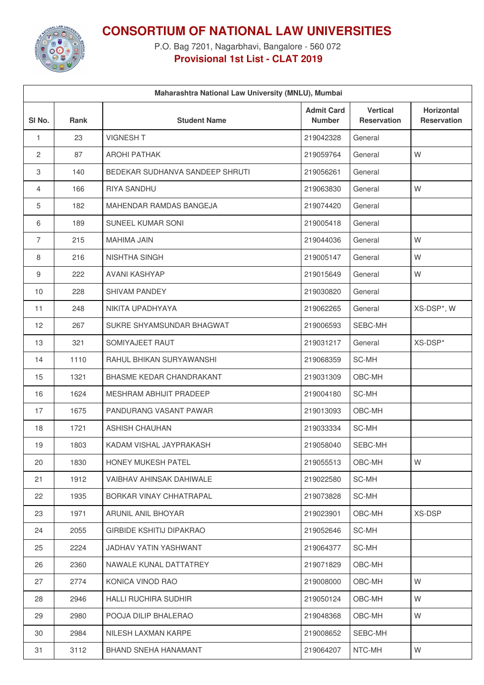

**CONSORTIUM OF NATIONAL LAW UNIVERSITIES**

P.O. Bag 7201, Nagarbhavi, Bangalore - 560 072 **Provisional 1st List - CLAT 2019**

| Maharashtra National Law University (MNLU), Mumbai |             |                                 |                                    |                                       |                                         |  |  |  |
|----------------------------------------------------|-------------|---------------------------------|------------------------------------|---------------------------------------|-----------------------------------------|--|--|--|
| SI <sub>No.</sub>                                  | <b>Rank</b> | <b>Student Name</b>             | <b>Admit Card</b><br><b>Number</b> | <b>Vertical</b><br><b>Reservation</b> | <b>Horizontal</b><br><b>Reservation</b> |  |  |  |
| 1                                                  | 23          | <b>VIGNESH T</b>                | 219042328                          | General                               |                                         |  |  |  |
| 2                                                  | 87          | <b>AROHI PATHAK</b>             | 219059764                          | General                               | W                                       |  |  |  |
| 3                                                  | 140         | BEDEKAR SUDHANVA SANDEEP SHRUTI | 219056261                          | General                               |                                         |  |  |  |
| 4                                                  | 166         | <b>RIYA SANDHU</b>              | 219063830                          | General                               | W                                       |  |  |  |
| 5                                                  | 182         | MAHENDAR RAMDAS BANGEJA         | 219074420                          | General                               |                                         |  |  |  |
| 6                                                  | 189         | SUNEEL KUMAR SONI               | 219005418                          | General                               |                                         |  |  |  |
| $\overline{7}$                                     | 215         | <b>MAHIMA JAIN</b>              | 219044036                          | General                               | W                                       |  |  |  |
| 8                                                  | 216         | NISHTHA SINGH                   | 219005147                          | General                               | W                                       |  |  |  |
| 9                                                  | 222         | <b>AVANI KASHYAP</b>            | 219015649                          | General                               | W                                       |  |  |  |
| 10                                                 | 228         | SHIVAM PANDEY                   | 219030820                          | General                               |                                         |  |  |  |
| 11                                                 | 248         | NIKITA UPADHYAYA                | 219062265                          | General                               | XS-DSP*, W                              |  |  |  |
| 12                                                 | 267         | SUKRE SHYAMSUNDAR BHAGWAT       | 219006593                          | SEBC-MH                               |                                         |  |  |  |
| 13                                                 | 321         | SOMIYAJEET RAUT                 | 219031217                          | General                               | XS-DSP*                                 |  |  |  |
| 14                                                 | 1110        | RAHUL BHIKAN SURYAWANSHI        | 219068359                          | SC-MH                                 |                                         |  |  |  |
| 15                                                 | 1321        | BHASME KEDAR CHANDRAKANT        | 219031309                          | OBC-MH                                |                                         |  |  |  |
| 16                                                 | 1624        | <b>MESHRAM ABHIJIT PRADEEP</b>  | 219004180                          | SC-MH                                 |                                         |  |  |  |
| 17                                                 | 1675        | PANDURANG VASANT PAWAR          | 219013093                          | OBC-MH                                |                                         |  |  |  |
| 18                                                 | 1721        | <b>ASHISH CHAUHAN</b>           | 219033334                          | SC-MH                                 |                                         |  |  |  |
| 19                                                 | 1803        | KADAM VISHAL JAYPRAKASH         | 219058040                          | SEBC-MH                               |                                         |  |  |  |
| 20                                                 | 1830        | HONEY MUKESH PATEL              | 219055513                          | OBC-MH                                | W                                       |  |  |  |
| 21                                                 | 1912        | VAIBHAV AHINSAK DAHIWALE        | 219022580                          | SC-MH                                 |                                         |  |  |  |
| 22                                                 | 1935        | BORKAR VINAY CHHATRAPAL         | 219073828                          | SC-MH                                 |                                         |  |  |  |
| 23                                                 | 1971        | ARUNIL ANIL BHOYAR              | 219023901                          | OBC-MH                                | XS-DSP                                  |  |  |  |
| 24                                                 | 2055        | <b>GIRBIDE KSHITIJ DIPAKRAO</b> | 219052646                          | SC-MH                                 |                                         |  |  |  |
| 25                                                 | 2224        | JADHAV YATIN YASHWANT           | 219064377                          | SC-MH                                 |                                         |  |  |  |
| 26                                                 | 2360        | NAWALE KUNAL DATTATREY          | 219071829                          | OBC-MH                                |                                         |  |  |  |
| 27                                                 | 2774        | KONICA VINOD RAO                | 219008000                          | OBC-MH                                | W                                       |  |  |  |
| 28                                                 | 2946        | <b>HALLI RUCHIRA SUDHIR</b>     | 219050124                          | OBC-MH                                | W                                       |  |  |  |
| 29                                                 | 2980        | POOJA DILIP BHALERAO            | 219048368                          | OBC-MH                                | W                                       |  |  |  |
| 30                                                 | 2984        | NILESH LAXMAN KARPE             | 219008652                          | SEBC-MH                               |                                         |  |  |  |
| 31                                                 | 3112        | BHAND SNEHA HANAMANT            | 219064207                          | NTC-MH                                | W                                       |  |  |  |